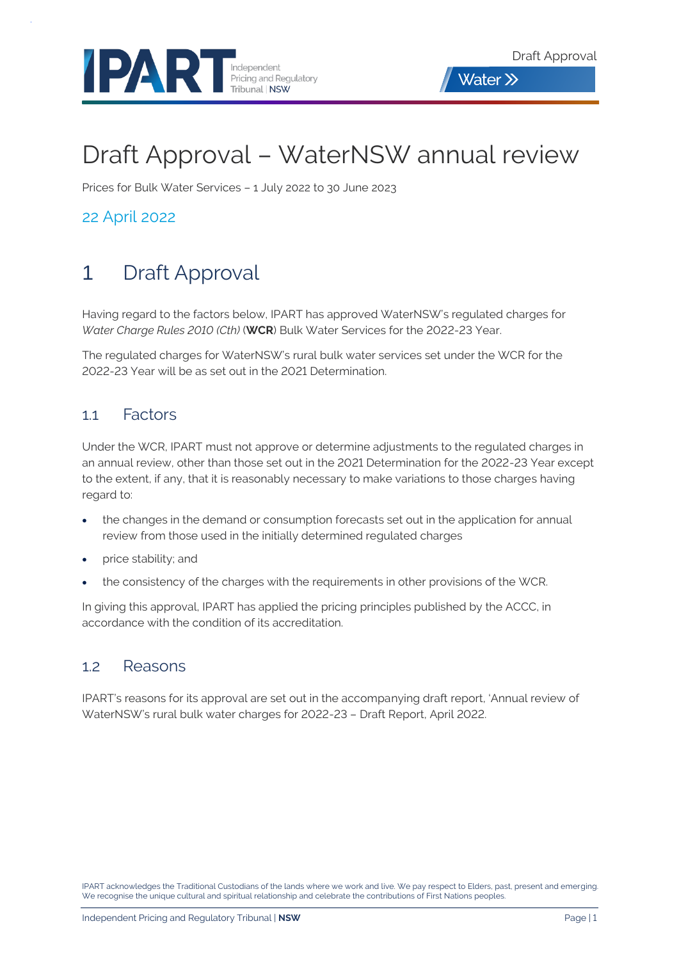



# Draft Approval – WaterNSW annual review

Prices for Bulk Water Services – 1 July 2022 to 30 June 2023

22 April 2022

# 1 Draft Approval

Having regard to the factors below, IPART has approved WaterNSW's regulated charges for *Water Charge Rules 2010 (Cth)* (**WCR**) Bulk Water Services for the 2022-23 Year.

The regulated charges for WaterNSW's rural bulk water services set under the WCR for the 2022-23 Year will be as set out in the 2021 Determination.

#### 1.1 Factors

Under the WCR, IPART must not approve or determine adjustments to the regulated charges in an annual review, other than those set out in the 2021 Determination for the 2022-23 Year except to the extent, if any, that it is reasonably necessary to make variations to those charges having regard to:

- the changes in the demand or consumption forecasts set out in the application for annual review from those used in the initially determined regulated charges
- price stability; and
- the consistency of the charges with the requirements in other provisions of the WCR.

In giving this approval, IPART has applied the pricing principles published by the ACCC, in accordance with the condition of its accreditation.

#### 1.2 Reasons

IPART's reasons for its approval are set out in the accompanying draft report, 'Annual review of WaterNSW's rural bulk water charges for 2022-23 – Draft Report, April 2022.

IPART acknowledges the Traditional Custodians of the lands where we work and live. We pay respect to Elders, past, present and emerging. We recognise the unique cultural and spiritual relationship and celebrate the contributions of First Nations peoples.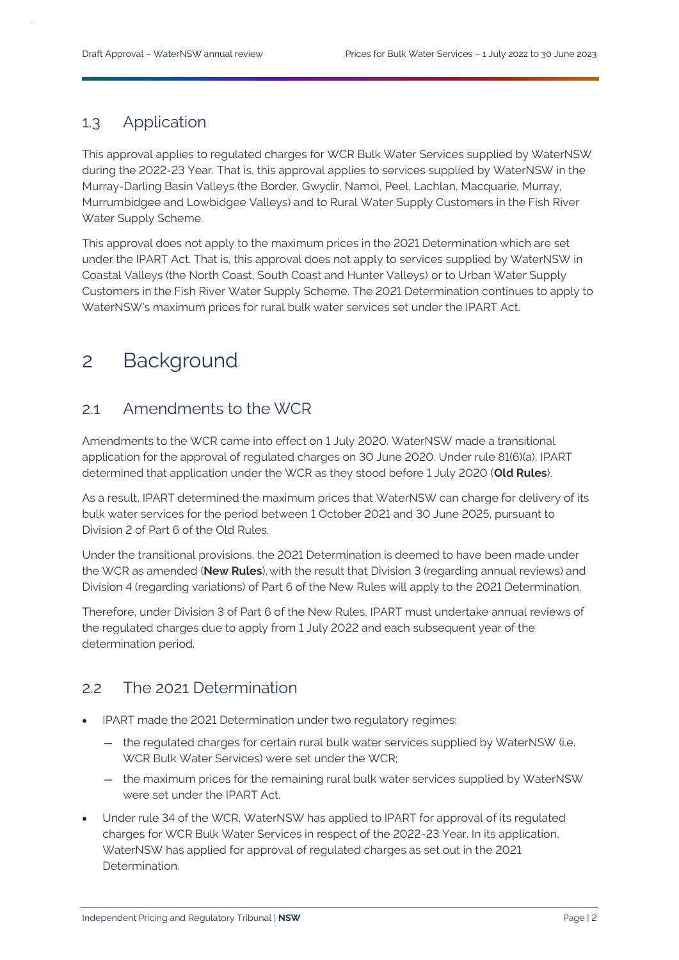#### 1.3 Application

This approval applies to regulated charges for WCR Bulk Water Services supplied by WaterNSW during the 2022-23 Year. That is, this approval applies to services supplied by WaterNSW in the Murray-Darling Basin Valleys (the Border, Gwydir, Namoi, Peel, Lachlan, Macquarie, Murray, Murrumbidgee and Lowbidgee Valleys) and to Rural Water Supply Customers in the Fish River Water Supply Scheme.

This approval does not apply to the maximum prices in the 2021 Determination which are set under the IPART Act. That is, this approval does not apply to services supplied by WaterNSW in Coastal Valleys (the North Coast, South Coast and Hunter Valleys) or to Urban Water Supply Customers in the Fish River Water Supply Scheme. The 2021 Determination continues to apply to WaterNSW's maximum prices for rural bulk water services set under the IPART Act.

## 2 Background

#### 2.1 Amendments to the WCR

Amendments to the WCR came into effect on 1 July 2020. WaterNSW made a transitional application for the approval of regulated charges on 30 June 2020. Under rule 81(6)(a), IPART determined that application under the WCR as they stood before 1 July 2020 (**Old Rules**).

As a result, IPART determined the maximum prices that WaterNSW can charge for delivery of its bulk water services for the period between 1 October 2021 and 30 June 2025, pursuant to Division 2 of Part 6 of the Old Rules.

Under the transitional provisions, the 2021 Determination is deemed to have been made under the WCR as amended (**New Rules**), with the result that Division 3 (regarding annual reviews) and Division 4 (regarding variations) of Part 6 of the New Rules will apply to the 2021 Determination.

Therefore, under Division 3 of Part 6 of the New Rules, IPART must undertake annual reviews of the regulated charges due to apply from 1 July 2022 and each subsequent year of the determination period.

#### 2.2 The 2021 Determination

- IPART made the 2021 Determination under two regulatory regimes:
	- the regulated charges for certain rural bulk water services supplied by WaterNSW (i.e. WCR Bulk Water Services) were set under the WCR;
	- the maximum prices for the remaining rural bulk water services supplied by WaterNSW were set under the IPART Act.
- Under rule 34 of the WCR, WaterNSW has applied to IPART for approval of its regulated charges for WCR Bulk Water Services in respect of the 2022-23 Year. In its application, WaterNSW has applied for approval of regulated charges as set out in the 2021 Determination.